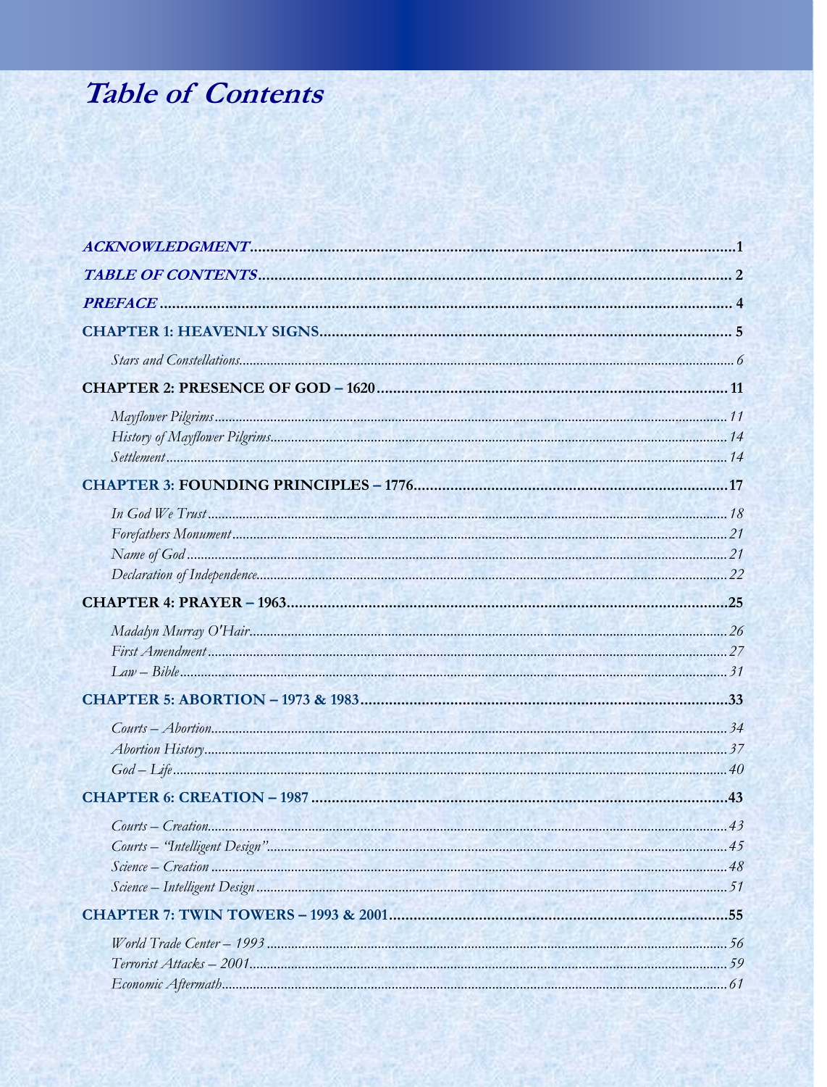## **Table of Contents**

| $Contrs-Creation$ |  |
|-------------------|--|
|                   |  |
|                   |  |
|                   |  |
|                   |  |
|                   |  |
|                   |  |
|                   |  |